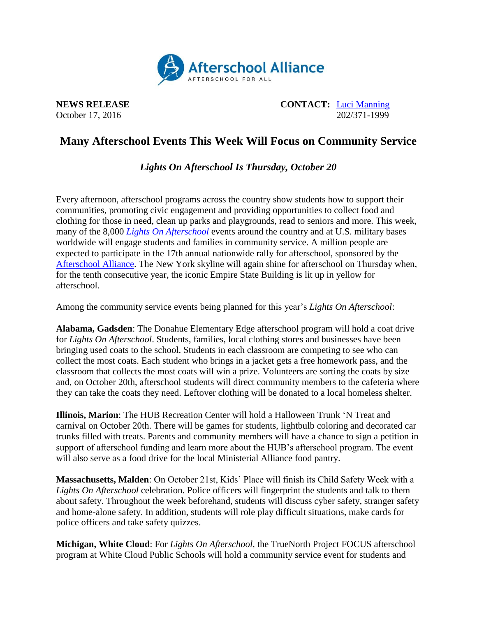

**NEWS RELEASE CONTACT:** [Luci Manning](mailto:luci@prsolutionsdc.com) October 17, 2016 202/371-1999

## **Many Afterschool Events This Week Will Focus on Community Service**

## *Lights On Afterschool Is Thursday, October 20*

Every afternoon, afterschool programs across the country show students how to support their communities, promoting civic engagement and providing opportunities to collect food and clothing for those in need, clean up parks and playgrounds, read to seniors and more. This week, many of the 8,000 *[Lights On Afterschool](http://www.afterschoolalliance.org/loa.cfm)* events around the country and at U.S. military bases worldwide will engage students and families in community service. A million people are expected to participate in the 17th annual nationwide rally for afterschool, sponsored by the [Afterschool Alliance.](http://www.afterschoolalliance.org/) The New York skyline will again shine for afterschool on Thursday when, for the tenth consecutive year, the iconic Empire State Building is lit up in yellow for afterschool.

Among the community service events being planned for this year's *Lights On Afterschool*:

**Alabama, Gadsden**: The Donahue Elementary Edge afterschool program will hold a coat drive for *Lights On Afterschool*. Students, families, local clothing stores and businesses have been bringing used coats to the school. Students in each classroom are competing to see who can collect the most coats. Each student who brings in a jacket gets a free homework pass, and the classroom that collects the most coats will win a prize. Volunteers are sorting the coats by size and, on October 20th, afterschool students will direct community members to the cafeteria where they can take the coats they need. Leftover clothing will be donated to a local homeless shelter.

**Illinois, Marion**: The HUB Recreation Center will hold a Halloween Trunk 'N Treat and carnival on October 20th. There will be games for students, lightbulb coloring and decorated car trunks filled with treats. Parents and community members will have a chance to sign a petition in support of afterschool funding and learn more about the HUB's afterschool program. The event will also serve as a food drive for the local Ministerial Alliance food pantry.

**Massachusetts, Malden**: On October 21st, Kids' Place will finish its Child Safety Week with a *Lights On Afterschool* celebration. Police officers will fingerprint the students and talk to them about safety. Throughout the week beforehand, students will discuss cyber safety, stranger safety and home-alone safety. In addition, students will role play difficult situations, make cards for police officers and take safety quizzes.

**Michigan, White Cloud**: For *Lights On Afterschool*, the TrueNorth Project FOCUS afterschool program at White Cloud Public Schools will hold a community service event for students and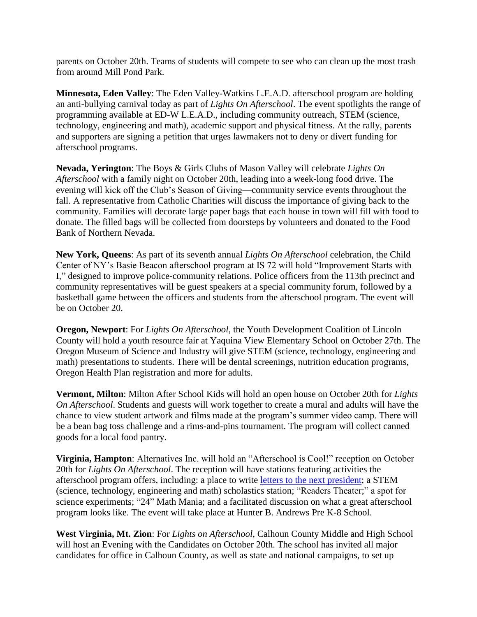parents on October 20th. Teams of students will compete to see who can clean up the most trash from around Mill Pond Park.

**Minnesota, Eden Valley**: The Eden Valley-Watkins L.E.A.D. afterschool program are holding an anti-bullying carnival today as part of *Lights On Afterschool*. The event spotlights the range of programming available at ED-W L.E.A.D., including community outreach, STEM (science, technology, engineering and math), academic support and physical fitness. At the rally, parents and supporters are signing a petition that urges lawmakers not to deny or divert funding for afterschool programs.

**Nevada, Yerington**: The Boys & Girls Clubs of Mason Valley will celebrate *Lights On Afterschool* with a family night on October 20th, leading into a week-long food drive. The evening will kick off the Club's Season of Giving—community service events throughout the fall. A representative from Catholic Charities will discuss the importance of giving back to the community. Families will decorate large paper bags that each house in town will fill with food to donate. The filled bags will be collected from doorsteps by volunteers and donated to the Food Bank of Northern Nevada.

**New York, Queens**: As part of its seventh annual *Lights On Afterschool* celebration, the Child Center of NY's Basie Beacon afterschool program at IS 72 will hold "Improvement Starts with I," designed to improve police-community relations. Police officers from the 113th precinct and community representatives will be guest speakers at a special community forum, followed by a basketball game between the officers and students from the afterschool program. The event will be on October 20.

**Oregon, Newport**: For *Lights On Afterschool*, the Youth Development Coalition of Lincoln County will hold a youth resource fair at Yaquina View Elementary School on October 27th. The Oregon Museum of Science and Industry will give STEM (science, technology, engineering and math) presentations to students. There will be dental screenings, nutrition education programs, Oregon Health Plan registration and more for adults.

**Vermont, Milton**: Milton After School Kids will hold an open house on October 20th for *Lights On Afterschool*. Students and guests will work together to create a mural and adults will have the chance to view student artwork and films made at the program's summer video camp. There will be a bean bag toss challenge and a rims-and-pins tournament. The program will collect canned goods for a local food pantry.

**Virginia, Hampton**: Alternatives Inc. will hold an "Afterschool is Cool!" reception on October 20th for *Lights On Afterschool*. The reception will have stations featuring activities the afterschool program offers, including: a place to write [letters to the next president;](https://letters2president.org/) a STEM (science, technology, engineering and math) scholastics station; "Readers Theater;" a spot for science experiments; "24" Math Mania; and a facilitated discussion on what a great afterschool program looks like. The event will take place at Hunter B. Andrews Pre K-8 School.

**West Virginia, Mt. Zion**: For *Lights on Afterschool*, Calhoun County Middle and High School will host an Evening with the Candidates on October 20th. The school has invited all major candidates for office in Calhoun County, as well as state and national campaigns, to set up